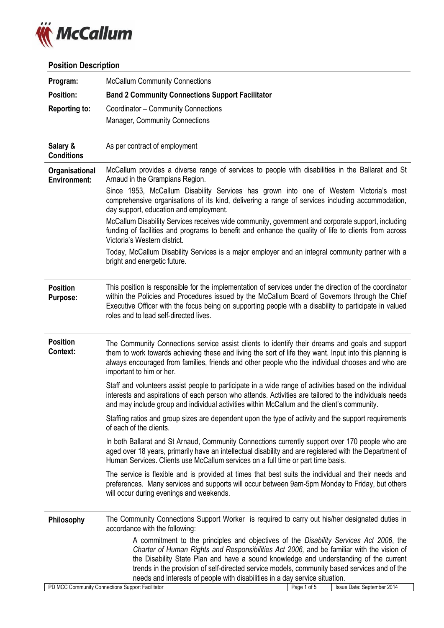

# **Position Description**

| Program:                                     | <b>McCallum Community Connections</b>                                                                                                                                                                                                                                                                                                                                                                                                                                                                                                                                                                                                                                                                                                                        |  |  |
|----------------------------------------------|--------------------------------------------------------------------------------------------------------------------------------------------------------------------------------------------------------------------------------------------------------------------------------------------------------------------------------------------------------------------------------------------------------------------------------------------------------------------------------------------------------------------------------------------------------------------------------------------------------------------------------------------------------------------------------------------------------------------------------------------------------------|--|--|
| <b>Position:</b>                             | <b>Band 2 Community Connections Support Facilitator</b>                                                                                                                                                                                                                                                                                                                                                                                                                                                                                                                                                                                                                                                                                                      |  |  |
| Reporting to:                                | Coordinator - Community Connections<br><b>Manager, Community Connections</b>                                                                                                                                                                                                                                                                                                                                                                                                                                                                                                                                                                                                                                                                                 |  |  |
| Salary &<br><b>Conditions</b>                | As per contract of employment                                                                                                                                                                                                                                                                                                                                                                                                                                                                                                                                                                                                                                                                                                                                |  |  |
| <b>Organisational</b><br><b>Environment:</b> | McCallum provides a diverse range of services to people with disabilities in the Ballarat and St<br>Arnaud in the Grampians Region.<br>Since 1953, McCallum Disability Services has grown into one of Western Victoria's most<br>comprehensive organisations of its kind, delivering a range of services including accommodation,<br>day support, education and employment.<br>McCallum Disability Services receives wide community, government and corporate support, including<br>funding of facilities and programs to benefit and enhance the quality of life to clients from across<br>Victoria's Western district.<br>Today, McCallum Disability Services is a major employer and an integral community partner with a<br>bright and energetic future. |  |  |
| <b>Position</b><br><b>Purpose:</b>           | This position is responsible for the implementation of services under the direction of the coordinator<br>within the Policies and Procedures issued by the McCallum Board of Governors through the Chief<br>Executive Officer with the focus being on supporting people with a disability to participate in valued<br>roles and to lead self-directed lives.                                                                                                                                                                                                                                                                                                                                                                                                 |  |  |
| <b>Position</b><br><b>Context:</b>           | The Community Connections service assist clients to identify their dreams and goals and support<br>them to work towards achieving these and living the sort of life they want. Input into this planning is<br>always encouraged from families, friends and other people who the individual chooses and who are<br>important to him or her.<br>Staff and volunteers assist people to participate in a wide range of activities based on the individual                                                                                                                                                                                                                                                                                                        |  |  |
|                                              | interests and aspirations of each person who attends. Activities are tailored to the individuals needs                                                                                                                                                                                                                                                                                                                                                                                                                                                                                                                                                                                                                                                       |  |  |
|                                              | and may include group and individual activities within McCallum and the client's community.                                                                                                                                                                                                                                                                                                                                                                                                                                                                                                                                                                                                                                                                  |  |  |
|                                              | Staffing ratios and group sizes are dependent upon the type of activity and the support requirements<br>of each of the clients.                                                                                                                                                                                                                                                                                                                                                                                                                                                                                                                                                                                                                              |  |  |
|                                              | In both Ballarat and St Arnaud, Community Connections currently support over 170 people who are<br>aged over 18 years, primarily have an intellectual disability and are registered with the Department of<br>Human Services. Clients use McCallum services on a full time or part time basis.                                                                                                                                                                                                                                                                                                                                                                                                                                                               |  |  |
|                                              | The service is flexible and is provided at times that best suits the individual and their needs and<br>preferences. Many services and supports will occur between 9am-5pm Monday to Friday, but others<br>will occur during evenings and weekends.                                                                                                                                                                                                                                                                                                                                                                                                                                                                                                           |  |  |
| Philosophy                                   | The Community Connections Support Worker is required to carry out his/her designated duties in<br>accordance with the following:                                                                                                                                                                                                                                                                                                                                                                                                                                                                                                                                                                                                                             |  |  |
|                                              | A commitment to the principles and objectives of the Disability Services Act 2006, the<br>Charter of Human Rights and Responsibilities Act 2006, and be familiar with the vision of<br>the Disability State Plan and have a sound knowledge and understanding of the current<br>trends in the provision of self-directed service models, community based services and of the<br>needs and interests of people with disabilities in a day service situation.<br>PD MCC Community Connections Support Facilitator<br>Page 1 of 5<br>Issue Date: September 2014                                                                                                                                                                                                 |  |  |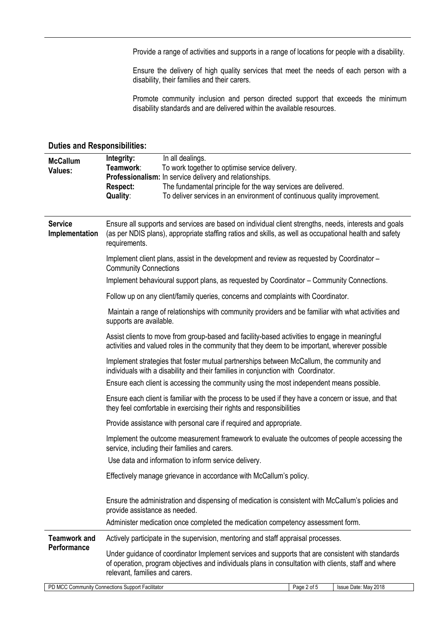Provide a range of activities and supports in a range of locations for people with a disability.

Ensure the delivery of high quality services that meet the needs of each person with a disability, their families and their carers.

Promote community inclusion and person directed support that exceeds the minimum disability standards and are delivered within the available resources.

| <b>McCallum</b><br>Values:         | Integrity:<br>Teamwork:<br><b>Respect:</b><br><b>Quality:</b>                                                                                                                                                                    | In all dealings.<br>To work together to optimise service delivery.<br>Professionalism: In service delivery and relationships.<br>The fundamental principle for the way services are delivered.<br>To deliver services in an environment of continuous quality improvement. |  |  |
|------------------------------------|----------------------------------------------------------------------------------------------------------------------------------------------------------------------------------------------------------------------------------|----------------------------------------------------------------------------------------------------------------------------------------------------------------------------------------------------------------------------------------------------------------------------|--|--|
| <b>Service</b><br>Implementation   | Ensure all supports and services are based on individual client strengths, needs, interests and goals<br>(as per NDIS plans), appropriate staffing ratios and skills, as well as occupational health and safety<br>requirements. |                                                                                                                                                                                                                                                                            |  |  |
|                                    | <b>Community Connections</b>                                                                                                                                                                                                     | Implement client plans, assist in the development and review as requested by Coordinator -                                                                                                                                                                                 |  |  |
|                                    |                                                                                                                                                                                                                                  | Implement behavioural support plans, as requested by Coordinator – Community Connections.                                                                                                                                                                                  |  |  |
|                                    |                                                                                                                                                                                                                                  | Follow up on any client/family queries, concerns and complaints with Coordinator.                                                                                                                                                                                          |  |  |
|                                    | supports are available.                                                                                                                                                                                                          | Maintain a range of relationships with community providers and be familiar with what activities and                                                                                                                                                                        |  |  |
|                                    |                                                                                                                                                                                                                                  | Assist clients to move from group-based and facility-based activities to engage in meaningful<br>activities and valued roles in the community that they deem to be important, wherever possible                                                                            |  |  |
|                                    | Implement strategies that foster mutual partnerships between McCallum, the community and<br>individuals with a disability and their families in conjunction with Coordinator.                                                    |                                                                                                                                                                                                                                                                            |  |  |
|                                    |                                                                                                                                                                                                                                  | Ensure each client is accessing the community using the most independent means possible.                                                                                                                                                                                   |  |  |
|                                    |                                                                                                                                                                                                                                  | Ensure each client is familiar with the process to be used if they have a concern or issue, and that<br>they feel comfortable in exercising their rights and responsibilities                                                                                              |  |  |
|                                    |                                                                                                                                                                                                                                  | Provide assistance with personal care if required and appropriate.                                                                                                                                                                                                         |  |  |
|                                    |                                                                                                                                                                                                                                  | Implement the outcome measurement framework to evaluate the outcomes of people accessing the<br>service, including their families and carers.                                                                                                                              |  |  |
|                                    |                                                                                                                                                                                                                                  | Use data and information to inform service delivery.                                                                                                                                                                                                                       |  |  |
|                                    |                                                                                                                                                                                                                                  | Effectively manage grievance in accordance with McCallum's policy.                                                                                                                                                                                                         |  |  |
|                                    | provide assistance as needed.                                                                                                                                                                                                    | Ensure the administration and dispensing of medication is consistent with McCallum's policies and                                                                                                                                                                          |  |  |
|                                    |                                                                                                                                                                                                                                  | Administer medication once completed the medication competency assessment form.                                                                                                                                                                                            |  |  |
| <b>Teamwork and</b><br>Performance |                                                                                                                                                                                                                                  | Actively participate in the supervision, mentoring and staff appraisal processes.                                                                                                                                                                                          |  |  |
|                                    | relevant, families and carers.                                                                                                                                                                                                   | Under guidance of coordinator Implement services and supports that are consistent with standards<br>of operation, program objectives and individuals plans in consultation with clients, staff and where                                                                   |  |  |
|                                    | PD MCC Community Connections Support Facilitator                                                                                                                                                                                 | Page 2 of 5<br>Issue Date: May 2018                                                                                                                                                                                                                                        |  |  |

## **Duties and Responsibilities:**

PD MCC Community Connections Support Facilitator **Page 2 of 5** Issue Date: May 2018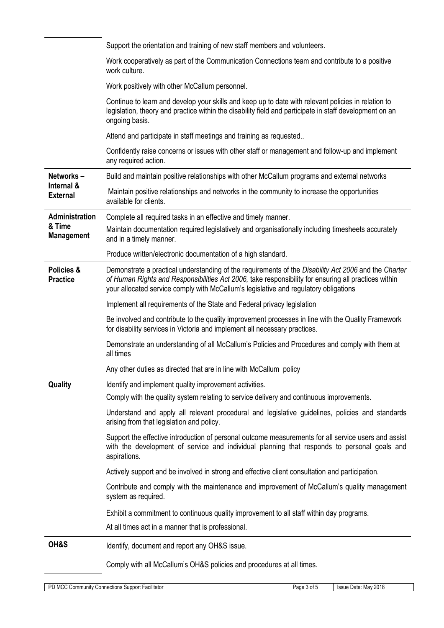|                                                 | Support the orientation and training of new staff members and volunteers.                                                                                                                                                                                                                            |
|-------------------------------------------------|------------------------------------------------------------------------------------------------------------------------------------------------------------------------------------------------------------------------------------------------------------------------------------------------------|
|                                                 | Work cooperatively as part of the Communication Connections team and contribute to a positive<br>work culture.                                                                                                                                                                                       |
|                                                 | Work positively with other McCallum personnel.                                                                                                                                                                                                                                                       |
|                                                 | Continue to learn and develop your skills and keep up to date with relevant policies in relation to<br>legislation, theory and practice within the disability field and participate in staff development on an<br>ongoing basis.                                                                     |
|                                                 | Attend and participate in staff meetings and training as requested                                                                                                                                                                                                                                   |
|                                                 | Confidently raise concerns or issues with other staff or management and follow-up and implement<br>any required action.                                                                                                                                                                              |
| Networks-                                       | Build and maintain positive relationships with other McCallum programs and external networks                                                                                                                                                                                                         |
| Internal &<br><b>External</b><br>Administration | Maintain positive relationships and networks in the community to increase the opportunities<br>available for clients.                                                                                                                                                                                |
|                                                 | Complete all required tasks in an effective and timely manner.                                                                                                                                                                                                                                       |
| & Time<br><b>Management</b>                     | Maintain documentation required legislatively and organisationally including timesheets accurately<br>and in a timely manner.                                                                                                                                                                        |
|                                                 | Produce written/electronic documentation of a high standard.                                                                                                                                                                                                                                         |
| <b>Policies &amp;</b><br><b>Practice</b>        | Demonstrate a practical understanding of the requirements of the Disability Act 2006 and the Charter<br>of Human Rights and Responsibilities Act 2006, take responsibility for ensuring all practices within<br>your allocated service comply with McCallum's legislative and regulatory obligations |
|                                                 | Implement all requirements of the State and Federal privacy legislation                                                                                                                                                                                                                              |
|                                                 | Be involved and contribute to the quality improvement processes in line with the Quality Framework<br>for disability services in Victoria and implement all necessary practices.                                                                                                                     |
|                                                 | Demonstrate an understanding of all McCallum's Policies and Procedures and comply with them at<br>all times                                                                                                                                                                                          |
|                                                 | Any other duties as directed that are in line with McCallum policy                                                                                                                                                                                                                                   |
| Quality                                         | Identify and implement quality improvement activities.                                                                                                                                                                                                                                               |
|                                                 | Comply with the quality system relating to service delivery and continuous improvements.                                                                                                                                                                                                             |
|                                                 | Understand and apply all relevant procedural and legislative guidelines, policies and standards<br>arising from that legislation and policy.                                                                                                                                                         |
|                                                 | Support the effective introduction of personal outcome measurements for all service users and assist<br>with the development of service and individual planning that responds to personal goals and<br>aspirations.                                                                                  |
|                                                 | Actively support and be involved in strong and effective client consultation and participation.                                                                                                                                                                                                      |
|                                                 | Contribute and comply with the maintenance and improvement of McCallum's quality management<br>system as required.                                                                                                                                                                                   |
|                                                 | Exhibit a commitment to continuous quality improvement to all staff within day programs.                                                                                                                                                                                                             |
|                                                 | At all times act in a manner that is professional.                                                                                                                                                                                                                                                   |
| OH&S                                            | Identify, document and report any OH&S issue.                                                                                                                                                                                                                                                        |
|                                                 | Comply with all McCallum's OH&S policies and procedures at all times.                                                                                                                                                                                                                                |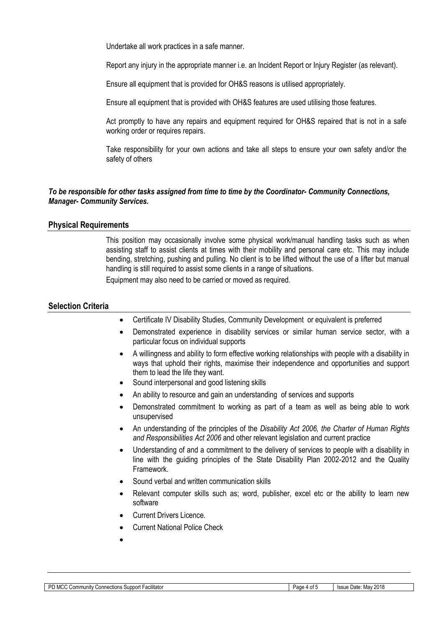Undertake all work practices in a safe manner.

Report any injury in the appropriate manner i.e. an Incident Report or Injury Register (as relevant).

Ensure all equipment that is provided for OH&S reasons is utilised appropriately.

Ensure all equipment that is provided with OH&S features are used utilising those features.

Act promptly to have any repairs and equipment required for OH&S repaired that is not in a safe working order or requires repairs.

Take responsibility for your own actions and take all steps to ensure your own safety and/or the safety of others

#### *To be responsible for other tasks assigned from time to time by the Coordinator- Community Connections, Manager- Community Services.*

#### **Physical Requirements**

This position may occasionally involve some physical work/manual handling tasks such as when assisting staff to assist clients at times with their mobility and personal care etc. This may include bending, stretching, pushing and pulling. No client is to be lifted without the use of a lifter but manual handling is still required to assist some clients in a range of situations.

Equipment may also need to be carried or moved as required.

#### **Selection Criteria**

- Certificate IV Disability Studies, Community Development or equivalent is preferred
- Demonstrated experience in disability services or similar human service sector, with a particular focus on individual supports
- A willingness and ability to form effective working relationships with people with a disability in ways that uphold their rights, maximise their independence and opportunities and support them to lead the life they want.
- Sound interpersonal and good listening skills
- An ability to resource and gain an understanding of services and supports
- Demonstrated commitment to working as part of a team as well as being able to work unsupervised
- An understanding of the principles of the *Disability Act 2006, the Charter of Human Rights and Responsibilities Act 2006* and other relevant legislation and current practice
- Understanding of and a commitment to the delivery of services to people with a disability in line with the guiding principles of the State Disability Plan 2002-2012 and the Quality Framework.
- Sound verbal and written communication skills
- Relevant computer skills such as; word, publisher, excel etc or the ability to learn new software
- Current Drivers Licence.
- Current National Police Check
- $\bullet$